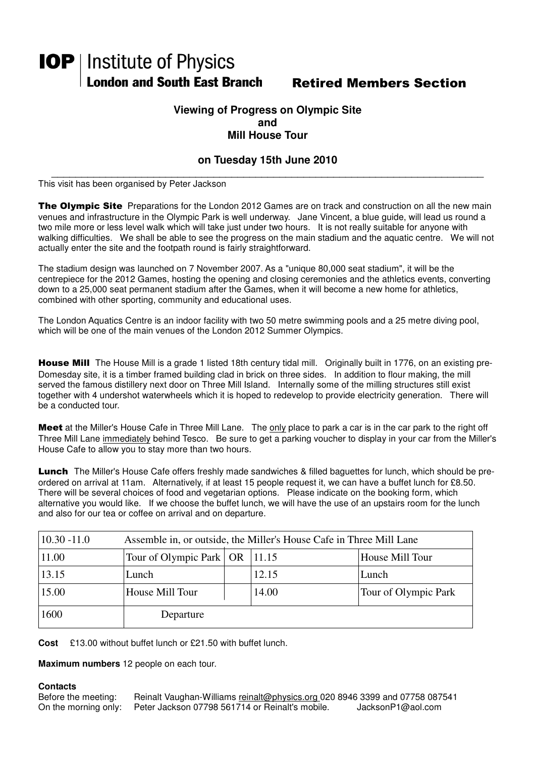# **IOP** | Institute of Physics London and South East Branch Retired Members Section

### **Viewing of Progress on Olympic Site and Mill House Tour**

## **on Tuesday 15th June 2010**

\_\_\_\_\_\_\_\_\_\_\_\_\_\_\_\_\_\_\_\_\_\_\_\_\_\_\_\_\_\_\_\_\_\_\_\_\_\_\_\_\_\_\_\_\_\_\_\_\_\_\_\_\_\_\_\_\_\_\_\_\_\_\_\_\_\_\_\_\_\_\_\_ This visit has been organised by Peter Jackson

The Olympic Site Preparations for the London 2012 Games are on track and construction on all the new main venues and infrastructure in the Olympic Park is well underway. Jane Vincent, a blue guide, will lead us round a two mile more or less level walk which will take just under two hours. It is not really suitable for anyone with walking difficulties. We shall be able to see the progress on the main stadium and the aquatic centre. We will not actually enter the site and the footpath round is fairly straightforward.

The stadium design was launched on 7 November 2007. As a "unique 80,000 seat stadium", it will be the centrepiece for the 2012 Games, hosting the opening and closing ceremonies and the athletics events, converting down to a 25,000 seat permanent stadium after the Games, when it will become a new home for athletics, combined with other sporting, community and educational uses.

The London Aquatics Centre is an indoor facility with two 50 metre swimming pools and a 25 metre diving pool, which will be one of the main venues of the London 2012 Summer Olympics.

House Mill The House Mill is a grade 1 listed 18th century tidal mill. Originally built in 1776, on an existing pre-Domesday site, it is a timber framed building clad in brick on three sides. In addition to flour making, the mill served the famous distillery next door on Three Mill Island. Internally some of the milling structures still exist together with 4 undershot waterwheels which it is hoped to redevelop to provide electricity generation. There will be a conducted tour.

Meet at the Miller's House Cafe in Three Mill Lane. The only place to park a car is in the car park to the right off Three Mill Lane immediately behind Tesco. Be sure to get a parking voucher to display in your car from the Miller's House Cafe to allow you to stay more than two hours.

Lunch The Miller's House Cafe offers freshly made sandwiches & filled baguettes for lunch, which should be preordered on arrival at 11am. Alternatively, if at least 15 people request it, we can have a buffet lunch for £8.50. There will be several choices of food and vegetarian options. Please indicate on the booking form, which alternative you would like. If we choose the buffet lunch, we will have the use of an upstairs room for the lunch and also for our tea or coffee on arrival and on departure.

| $10.30 - 11.0$<br>Assemble in, or outside, the Miller's House Cafe in Three Mill Lane |                                   |  |       |                      |
|---------------------------------------------------------------------------------------|-----------------------------------|--|-------|----------------------|
| 11.00                                                                                 | Tour of Olympic Park   OR   11.15 |  |       | House Mill Tour      |
| 13.15                                                                                 | Lunch                             |  | 12.15 | Lunch                |
| 15.00                                                                                 | House Mill Tour                   |  | 14.00 | Tour of Olympic Park |
| 1600                                                                                  | Departure                         |  |       |                      |

**Cost** £13.00 without buffet lunch or £21.50 with buffet lunch.

**Maximum numbers** 12 people on each tour.

#### **Contacts**

| Before the meeting:  | Reinalt Vaughan-Williams reinalt@physics.org 020 8946 3399 and 07758 087541 |                   |
|----------------------|-----------------------------------------------------------------------------|-------------------|
| On the morning only: | Peter Jackson 07798 561714 or Reinalt's mobile.                             | JacksonP1@aol.com |